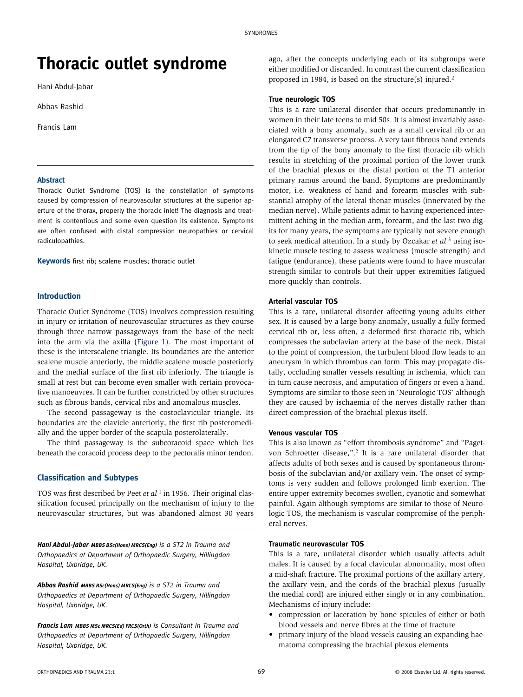# **Thoracic outlet syndrome**

Hani Abdul-Jabar

Abbas Rashid

Francis Lam

#### **Abstract**

Thoracic Outlet Syndrome (TOS) is the constellation of symptoms caused by compression of neurovascular structures at the superior aperture of the thorax, properly the thoracic inlet! The diagnosis and treatment is contentious and some even question its existence. Symptoms are often confused with distal compression neuropathies or cervical radiculopathies.

**Keywords** first rib; scalene muscles; thoracic outlet

# **Introduction**

Thoracic Outlet Syndrome (TOS) involves compression resulting in injury or irritation of neurovascular structures as they course through three narrow passageways from the base of the neck into the arm via the axilla [\(Figure 1\)](#page-1-0). The most important of these is the interscalene triangle. Its boundaries are the anterior scalene muscle anteriorly, the middle scalene muscle posteriorly and the medial surface of the first rib inferiorly. The triangle is small at rest but can become even smaller with certain provocative manoeuvres. It can be further constricted by other structures such as fibrous bands, cervical ribs and anomalous muscles.

The second passageway is the costoclavicular triangle. Its boundaries are the clavicle anteriorly, the first rib posteromedially and the upper border of the scapula posterolaterally.

The third passageway is the subcoracoid space which lies beneath the coracoid process deep to the pectoralis minor tendon.

## **Classification and Subtypes**

TOS was first described by Peet *et al* <sup>[1](#page-4-0)</sup> in 1956. Their original classification focused principally on the mechanism of injury to the neurovascular structures, but was abandoned almost 30 years

*Hani Abdul-Jabar MBBS BSc(Hons) MRCS(Eng) is a ST2 in Trauma and Orthopaedics at Department of Orthopaedic Surgery, Hillingdon Hospital, Uxbridge, UK.*

*Abbas Rashid MBBS BSc(Hons) MRCS(Eng) is a ST2 in Trauma and Orthopaedics at Department of Orthopaedic Surgery, Hillingdon Hospital, Uxbridge, UK.*

*Francis Lam MBBS MSc MRCS(Ed) FRCS(Orth) is Consultant in Trauma and Orthopaedics at Department of Orthopaedic Surgery, Hillingdon Hospital, Uxbridge, UK.*

ago, after the concepts underlying each of its subgroups were either modified or discarded. In contrast the current classification proposed in 1984, is based on the structure(s) injured[.2](#page-4-1)

## **True neurologic TOS**

This is a rare unilateral disorder that occurs predominantly in women in their late teens to mid 50s. It is almost invariably associated with a bony anomaly, such as a small cervical rib or an elongated C7 transverse process. A very taut fibrous band extends from the tip of the bony anomaly to the first thoracic rib which results in stretching of the proximal portion of the lower trunk of the brachial plexus or the distal portion of the T1 anterior primary ramus around the band. Symptoms are predominantly motor, i.e. weakness of hand and forearm muscles with substantial atrophy of the lateral thenar muscles (innervated by the median nerve). While patients admit to having experienced intermittent aching in the median arm, forearm, and the last two digits for many years, the symptoms are typically not severe enough to seek medical attention. In a study by Ozcakar *et al* [3](#page-4-2) using isokinetic muscle testing to assess weakness (muscle strength) and fatigue (endurance), these patients were found to have muscular strength similar to controls but their upper extremities fatigued more quickly than controls.

#### **Arterial vascular TOS**

This is a rare, unilateral disorder affecting young adults either sex. It is caused by a large bony anomaly, usually a fully formed cervical rib or, less often, a deformed first thoracic rib, which compresses the subclavian artery at the base of the neck. Distal to the point of compression, the turbulent blood flow leads to an aneurysm in which thrombus can form. This may propagate distally, occluding smaller vessels resulting in ischemia, which can in turn cause necrosis, and amputation of fingers or even a hand. Symptoms are similar to those seen in 'Neurologic TOS' although they are caused by ischaemia of the nerves distally rather than direct compression of the brachial plexus itself.

## **Venous vascular TOS**

This is also known as "effort thrombosis syndrome" and "Pagetvon Schroetter disease,"[.2](#page-4-1) It is a rare unilateral disorder that affects adults of both sexes and is caused by spontaneous thrombosis of the subclavian and/or axillary vein. The onset of symptoms is very sudden and follows prolonged limb exertion. The entire upper extremity becomes swollen, cyanotic and somewhat painful. Again although symptoms are similar to those of Neurologic TOS, the mechanism is vascular compromise of the peripheral nerves.

## **Traumatic neurovascular TOS**

This is a rare, unilateral disorder which usually affects adult males. It is caused by a focal clavicular abnormality, most often a mid-shaft fracture. The proximal portions of the axillary artery, the axillary vein, and the cords of the brachial plexus (usually the medial cord) are injured either singly or in any combination. Mechanisms of injury include:

- compression or laceration by bone spicules of either or both blood vessels and nerve fibres at the time of fracture
- primary injury of the blood vessels causing an expanding haematoma compressing the brachial plexus elements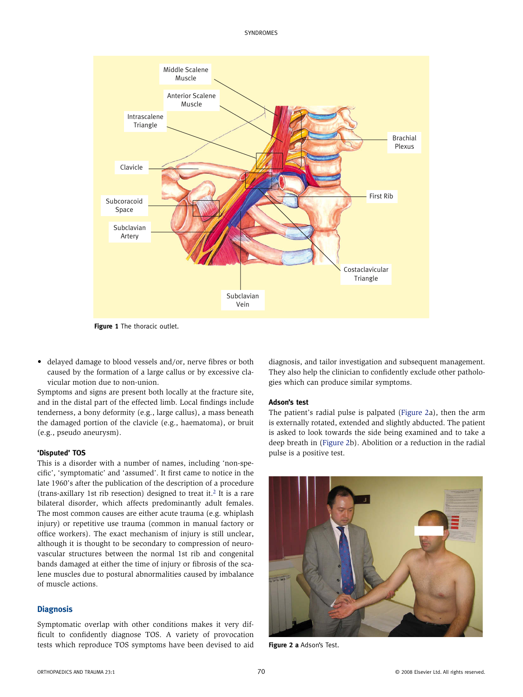

<span id="page-1-0"></span>**Figure 1** The thoracic outlet.

• delayed damage to blood vessels and/or, nerve fibres or both caused by the formation of a large callus or by excessive clavicular motion due to non-union.

Symptoms and signs are present both locally at the fracture site, and in the distal part of the effected limb. Local findings include tenderness, a bony deformity (e.g., large callus), a mass beneath the damaged portion of the clavicle (e.g., haematoma), or bruit (e.g., pseudo aneurysm).

### **'Disputed' TOS**

This is a disorder with a number of names, including 'non-specific', 'symptomatic' and 'assumed'. It first came to notice in the late 1960's after the publication of the description of a procedure (trans-axillary 1st rib resection) designed to treat it.[2](#page-4-1) It is a rare bilateral disorder, which affects predominantly adult females. The most common causes are either acute trauma (e.g. whiplash injury) or repetitive use trauma (common in manual factory or office workers). The exact mechanism of injury is still unclear, although it is thought to be secondary to compression of neurovascular structures between the normal 1st rib and congenital bands damaged at either the time of injury or fibrosis of the scalene muscles due to postural abnormalities caused by imbalance of muscle actions.

# **Diagnosis**

Symptomatic overlap with other conditions makes it very difficult to confidently diagnose TOS. A variety of provocation tests which reproduce TOS symptoms have been devised to aid

diagnosis, and tailor investigation and subsequent management. They also help the clinician to confidently exclude other pathologies which can produce similar symptoms.

#### **Adson's test**

The patient's radial pulse is palpated ([Figure 2a](#page-1-1)), then the arm is externally rotated, extended and slightly abducted. The patient is asked to look towards the side being examined and to take a deep breath in [\(Figure 2b](#page-2-0)). Abolition or a reduction in the radial pulse is a positive test.

<span id="page-1-1"></span>

**Figure 2 a** Adson's Test.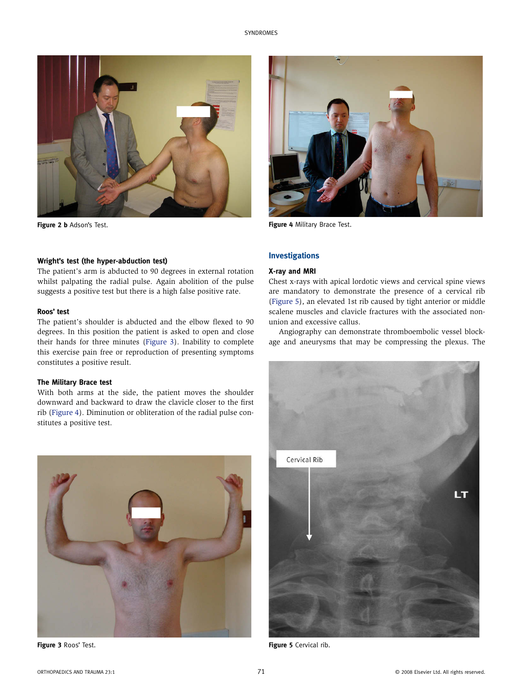

**Figure 2 b** Adson's Test.

# <span id="page-2-0"></span>**Wright's test (the hyper-abduction test)**

The patient's arm is abducted to 90 degrees in external rotation whilst palpating the radial pulse. Again abolition of the pulse suggests a positive test but there is a high false positive rate.

## **Roos' test**

The patient's shoulder is abducted and the elbow flexed to 90 degrees. In this position the patient is asked to open and close their hands for three minutes [\(Figure 3](#page-2-1)). Inability to complete this exercise pain free or reproduction of presenting symptoms constitutes a positive result.

## **The Military Brace test**

With both arms at the side, the patient moves the shoulder downward and backward to draw the clavicle closer to the first rib ([Figure 4\)](#page-2-2). Diminution or obliteration of the radial pulse constitutes a positive test.

<span id="page-2-1"></span>

**Figure 3** Roos' Test.



**Figure 4** Military Brace Test.

## <span id="page-2-2"></span>**Investigations**

# **X-ray and MRI**

Chest x-rays with apical lordotic views and cervical spine views are mandatory to demonstrate the presence of a cervical rib ([Figure](#page-2-3) 5), an elevated 1st rib caused by tight anterior or middle scalene muscles and clavicle fractures with the associated nonunion and excessive callus.

Angiography can demonstrate thromboembolic vessel blockage and aneurysms that may be compressing the plexus. The

<span id="page-2-3"></span>

**Figure 5** Cervical rib.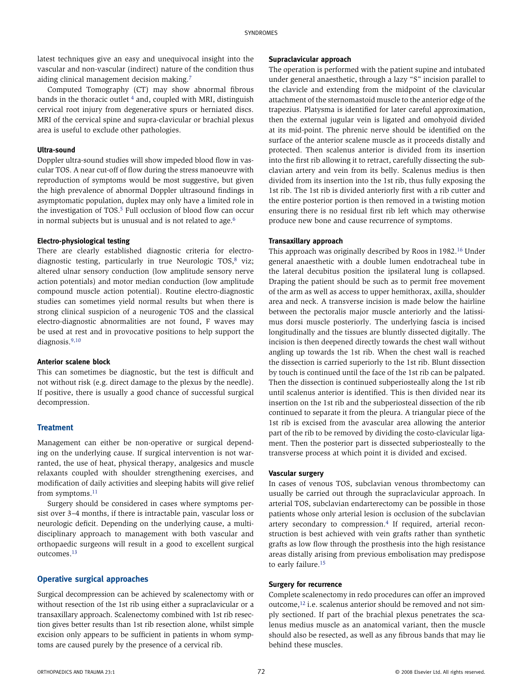latest techniques give an easy and unequivocal insight into the vascular and non-vascular (indirect) nature of the condition thus aiding clinical management decision making[.7](#page-4-3)

Computed Tomography (CT) may show abnormal fibrous bands in the thoracic outlet  $4$  and, coupled with MRI, distinguish cervical root injury from degenerative spurs or herniated discs. MRI of the cervical spine and supra-clavicular or brachial plexus area is useful to exclude other pathologies.

## **Ultra-sound**

Doppler ultra-sound studies will show impeded blood flow in vascular TOS. A near cut-off of flow during the stress manoeuvre with reproduction of symptoms would be most suggestive, but given the high prevalence of abnormal Doppler ultrasound findings in asymptomatic population, duplex may only have a limited role in the investigation of TOS.<sup>5</sup> Full occlusion of blood flow can occur in normal subjects but is unusual and is not related to age.<sup>6</sup>

## **Electro-physiological testing**

There are clearly established diagnostic criteria for electrodiagnostic testing, particularly in true Neurologic TOS,<sup>8</sup> viz; altered ulnar sensory conduction (low amplitude sensory nerve action potentials) and motor median conduction (low amplitude compound muscle action potential). Routine electro-diagnostic studies can sometimes yield normal results but when there is strong clinical suspicion of a neurogenic TOS and the classical electro-diagnostic abnormalities are not found, F waves may be used at rest and in provocative positions to help support the diagnosis.<sup>[9,10](#page-4-8)</sup>

## **Anterior scalene block**

This can sometimes be diagnostic, but the test is difficult and not without risk (e.g. direct damage to the plexus by the needle). If positive, there is usually a good chance of successful surgical decompression.

## **Treatment**

Management can either be non-operative or surgical depending on the underlying cause. If surgical intervention is not warranted, the use of heat, physical therapy, analgesics and muscle relaxants coupled with shoulder strengthening exercises, and modification of daily activities and sleeping habits will give relief from symptoms.<sup>11</sup>

Surgery should be considered in cases where symptoms persist over 3–4 months, if there is intractable pain, vascular loss or neurologic deficit. Depending on the underlying cause, a multidisciplinary approach to management with both vascular and orthopaedic surgeons will result in a good to excellent surgical outcomes.[13](#page-4-10)

# **Operative surgical approaches**

Surgical decompression can be achieved by scalenectomy with or without resection of the 1st rib using either a supraclavicular or a transaxillary approach. Scalenectomy combined with 1st rib resection gives better results than 1st rib resection alone, whilst simple excision only appears to be sufficient in patients in whom symptoms are caused purely by the presence of a cervical rib.

## **Supraclavicular approach**

The operation is performed with the patient supine and intubated under general anaesthetic, through a lazy "S" incision parallel to the clavicle and extending from the midpoint of the clavicular attachment of the sternomastoid muscle to the anterior edge of the trapezius. Platysma is identified for later careful approximation, then the external jugular vein is ligated and omohyoid divided at its mid-point. The phrenic nerve should be identified on the surface of the anterior scalene muscle as it proceeds distally and protected. Then scalenus anterior is divided from its insertion into the first rib allowing it to retract, carefully dissecting the subclavian artery and vein from its belly. Scalenus medius is then divided from its insertion into the 1st rib, thus fully exposing the 1st rib. The 1st rib is divided anteriorly first with a rib cutter and the entire posterior portion is then removed in a twisting motion ensuring there is no residual first rib left which may otherwise produce new bone and cause recurrence of symptoms.

#### **Transaxillary approach**

This approach was originally described by Roos in 1982.[16](#page-4-11) Under general anaesthetic with a double lumen endotracheal tube in the lateral decubitus position the ipsilateral lung is collapsed. Draping the patient should be such as to permit free movement of the arm as well as access to upper hemithorax, axilla, shoulder area and neck. A transverse incision is made below the hairline between the pectoralis major muscle anteriorly and the latissimus dorsi muscle posteriorly. The underlying fascia is incised longitudinally and the tissues are bluntly dissected digitally. The incision is then deepened directly towards the chest wall without angling up towards the 1st rib. When the chest wall is reached the dissection is carried superiorly to the 1st rib. Blunt dissection by touch is continued until the face of the 1st rib can be palpated. Then the dissection is continued subperiosteally along the 1st rib until scalenus anterior is identified. This is then divided near its insertion on the 1st rib and the subperiosteal dissection of the rib continued to separate it from the pleura. A triangular piece of the 1st rib is excised from the avascular area allowing the anterior part of the rib to be removed by dividing the costo-clavicular ligament. Then the posterior part is dissected subperiosteally to the transverse process at which point it is divided and excised.

## **Vascular surgery**

In cases of venous TOS, subclavian venous thrombectomy can usually be carried out through the supraclavicular approach. In arterial TOS, subclavian endarterectomy can be possible in those patients whose only arterial lesion is occlusion of the subclavian artery secondary to compression.<sup>4</sup> If required, arterial reconstruction is best achieved with vein grafts rather than synthetic grafts as low flow through the prosthesis into the high resistance areas distally arising from previous embolisation may predispose to early failure.<sup>[15](#page-4-12)</sup>

### **Surgery for recurrence**

Complete scalenectomy in redo procedures can offer an improved outcome,[12](#page-4-13) i.e. scalenus anterior should be removed and not simply sectioned. If part of the brachial plexus penetrates the scalenus medius muscle as an anatomical variant, then the muscle should also be resected, as well as any fibrous bands that may lie behind these muscles.